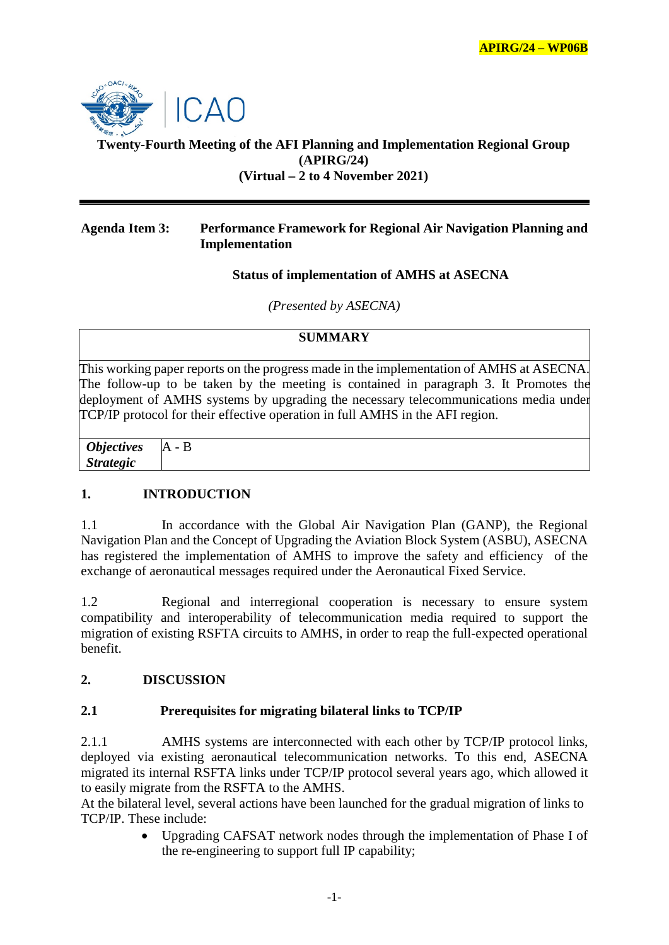

## **Twenty-Fourth Meeting of the AFI Planning and Implementation Regional Group (APIRG/24) (Virtual – 2 to 4 November 2021)**

#### **Agenda Item 3: Performance Framework for Regional Air Navigation Planning and Implementation**

#### **Status of implementation of AMHS at ASECNA**

*(Presented by ASECNA)*

## **SUMMARY**

This working paper reports on the progress made in the implementation of AMHS at ASECNA. The follow-up to be taken by the meeting is contained in paragraph 3. It Promotes the deployment of AMHS systems by upgrading the necessary telecommunications media under TCP/IP protocol for their effective operation in full AMHS in the AFI region.

 *Objectives Strategic*  $A - B$ 

## **1. INTRODUCTION**

1.1 In accordance with the Global Air Navigation Plan (GANP), the Regional Navigation Plan and the Concept of Upgrading the Aviation Block System (ASBU), ASECNA has registered the implementation of AMHS to improve the safety and efficiency of the exchange of aeronautical messages required under the Aeronautical Fixed Service.

1.2 Regional and interregional cooperation is necessary to ensure system compatibility and interoperability of telecommunication media required to support the migration of existing RSFTA circuits to AMHS, in order to reap the full-expected operational benefit.

## **2. DISCUSSION**

## **2.1 Prerequisites for migrating bilateral links to TCP/IP**

2.1.1 AMHS systems are interconnected with each other by TCP/IP protocol links, deployed via existing aeronautical telecommunication networks. To this end, ASECNA migrated its internal RSFTA links under TCP/IP protocol several years ago, which allowed it to easily migrate from the RSFTA to the AMHS.

At the bilateral level, several actions have been launched for the gradual migration of links to TCP/IP. These include:

> • Upgrading CAFSAT network nodes through the implementation of Phase I of the re-engineering to support full IP capability;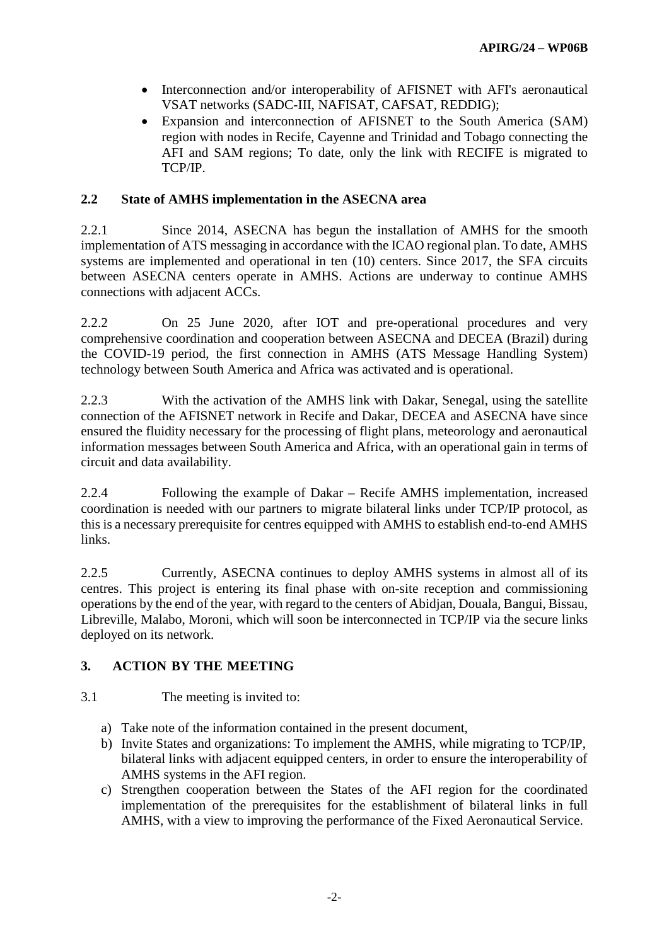- Interconnection and/or interoperability of AFISNET with AFI's aeronautical VSAT networks (SADC-III, NAFISAT, CAFSAT, REDDIG);
- Expansion and interconnection of AFISNET to the South America (SAM) region with nodes in Recife, Cayenne and Trinidad and Tobago connecting the AFI and SAM regions; To date, only the link with RECIFE is migrated to TCP/IP.

## **2.2 State of AMHS implementation in the ASECNA area**

2.2.1 Since 2014, ASECNA has begun the installation of AMHS for the smooth implementation of ATS messaging in accordance with the ICAO regional plan. To date, AMHS systems are implemented and operational in ten (10) centers. Since 2017, the SFA circuits between ASECNA centers operate in AMHS. Actions are underway to continue AMHS connections with adjacent ACCs.

2.2.2 On 25 June 2020, after IOT and pre-operational procedures and very comprehensive coordination and cooperation between ASECNA and DECEA (Brazil) during the COVID-19 period, the first connection in AMHS (ATS Message Handling System) technology between South America and Africa was activated and is operational.

2.2.3 With the activation of the AMHS link with Dakar, Senegal, using the satellite connection of the AFISNET network in Recife and Dakar, DECEA and ASECNA have since ensured the fluidity necessary for the processing of flight plans, meteorology and aeronautical information messages between South America and Africa, with an operational gain in terms of circuit and data availability.

2.2.4 Following the example of Dakar – Recife AMHS implementation, increased coordination is needed with our partners to migrate bilateral links under TCP/IP protocol, as this is a necessary prerequisite for centres equipped with AMHS to establish end-to-end AMHS links.

2.2.5 Currently, ASECNA continues to deploy AMHS systems in almost all of its centres. This project is entering its final phase with on-site reception and commissioning operations by the end of the year, with regard to the centers of Abidjan, Douala, Bangui, Bissau, Libreville, Malabo, Moroni, which will soon be interconnected in TCP/IP via the secure links deployed on its network.

# **3. ACTION BY THE MEETING**

## 3.1 The meeting is invited to:

- a) Take note of the information contained in the present document,
- b) Invite States and organizations: To implement the AMHS, while migrating to TCP/IP, bilateral links with adjacent equipped centers, in order to ensure the interoperability of AMHS systems in the AFI region.
- c) Strengthen cooperation between the States of the AFI region for the coordinated implementation of the prerequisites for the establishment of bilateral links in full AMHS, with a view to improving the performance of the Fixed Aeronautical Service.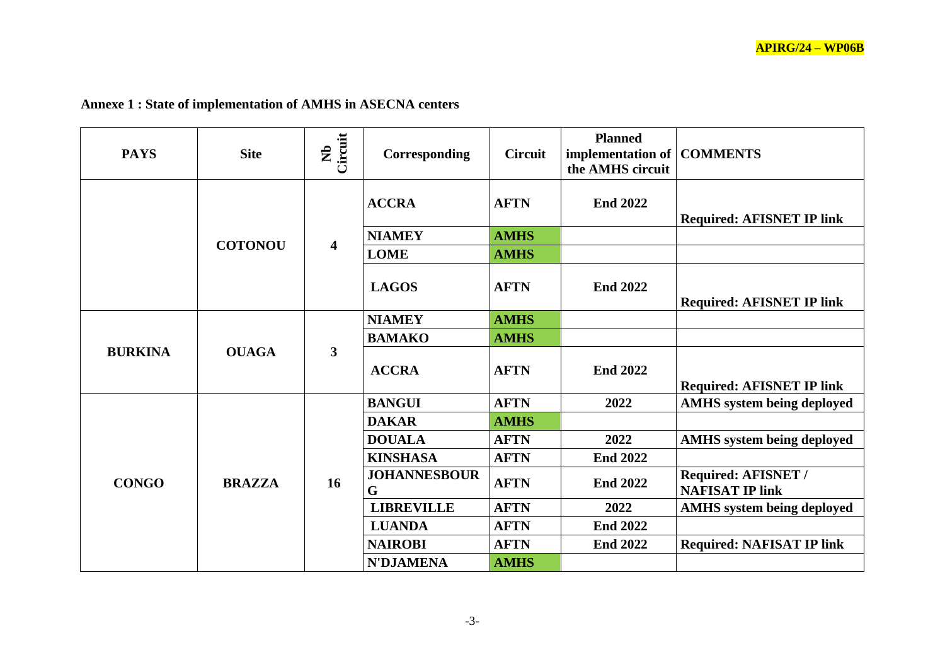| <b>PAYS</b>    | <b>Site</b>    | Circuit<br>$\hat{\mathbf{z}}$ | Corresponding            | <b>Circuit</b> | <b>Planned</b><br>implementation of COMMENTS<br>the AMHS circuit |                                               |
|----------------|----------------|-------------------------------|--------------------------|----------------|------------------------------------------------------------------|-----------------------------------------------|
|                |                | $\overline{\mathbf{4}}$       | <b>ACCRA</b>             | <b>AFTN</b>    | <b>End 2022</b>                                                  | <b>Required: AFISNET IP link</b>              |
|                |                |                               | <b>NIAMEY</b>            | <b>AMHS</b>    |                                                                  |                                               |
|                | <b>COTONOU</b> |                               | <b>LOME</b>              | <b>AMHS</b>    |                                                                  |                                               |
|                |                |                               | <b>LAGOS</b>             | <b>AFTN</b>    | <b>End 2022</b>                                                  | <b>Required: AFISNET IP link</b>              |
|                |                | $\overline{\mathbf{3}}$       | <b>NIAMEY</b>            | <b>AMHS</b>    |                                                                  |                                               |
|                | <b>OUAGA</b>   |                               | <b>BAMAKO</b>            | <b>AMHS</b>    |                                                                  |                                               |
| <b>BURKINA</b> |                |                               | <b>ACCRA</b>             | <b>AFTN</b>    | <b>End 2022</b>                                                  | <b>Required: AFISNET IP link</b>              |
|                | <b>BRAZZA</b>  | 16                            | <b>BANGUI</b>            | <b>AFTN</b>    | 2022                                                             | <b>AMHS</b> system being deployed             |
|                |                |                               | <b>DAKAR</b>             | <b>AMHS</b>    |                                                                  |                                               |
| <b>CONGO</b>   |                |                               | <b>DOUALA</b>            | <b>AFTN</b>    | 2022                                                             | <b>AMHS</b> system being deployed             |
|                |                |                               | <b>KINSHASA</b>          | <b>AFTN</b>    | <b>End 2022</b>                                                  |                                               |
|                |                |                               | <b>JOHANNESBOUR</b><br>G | <b>AFTN</b>    | <b>End 2022</b>                                                  | Required: AFISNET /<br><b>NAFISAT IP link</b> |
|                |                |                               | <b>LIBREVILLE</b>        | <b>AFTN</b>    | 2022                                                             | <b>AMHS</b> system being deployed             |
|                |                |                               | <b>LUANDA</b>            | <b>AFTN</b>    | <b>End 2022</b>                                                  |                                               |
|                |                |                               | <b>NAIROBI</b>           | <b>AFTN</b>    | <b>End 2022</b>                                                  | <b>Required: NAFISAT IP link</b>              |
|                |                |                               | <b>N'DJAMENA</b>         | <b>AMHS</b>    |                                                                  |                                               |

# **Annexe 1 : State of implementation of AMHS in ASECNA centers**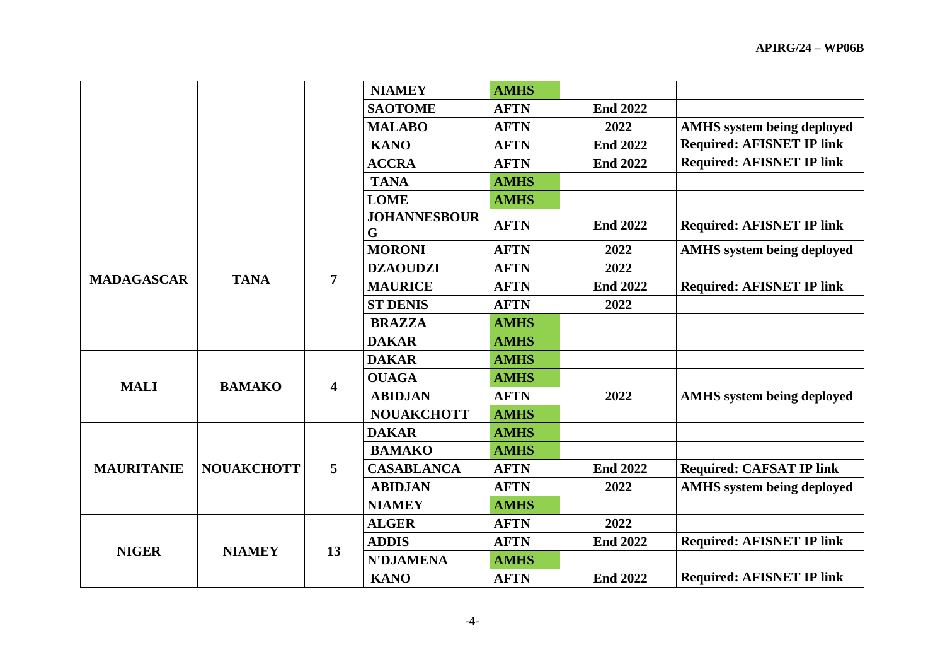|                   |                   |                         | <b>NIAMEY</b>            | <b>AMHS</b> |                 |                                   |
|-------------------|-------------------|-------------------------|--------------------------|-------------|-----------------|-----------------------------------|
|                   |                   |                         | <b>SAOTOME</b>           | <b>AFTN</b> | <b>End 2022</b> |                                   |
|                   |                   |                         | <b>MALABO</b>            | <b>AFTN</b> | 2022            | <b>AMHS</b> system being deployed |
|                   |                   |                         | <b>KANO</b>              | <b>AFTN</b> | <b>End 2022</b> | <b>Required: AFISNET IP link</b>  |
|                   |                   |                         | <b>ACCRA</b>             | <b>AFTN</b> | <b>End 2022</b> | <b>Required: AFISNET IP link</b>  |
|                   |                   |                         | <b>TANA</b>              | <b>AMHS</b> |                 |                                   |
|                   |                   |                         | <b>LOME</b>              | <b>AMHS</b> |                 |                                   |
|                   |                   | 7                       | <b>JOHANNESBOUR</b><br>G | <b>AFTN</b> | <b>End 2022</b> | <b>Required: AFISNET IP link</b>  |
|                   |                   |                         | <b>MORONI</b>            | <b>AFTN</b> | 2022            | <b>AMHS</b> system being deployed |
| <b>MADAGASCAR</b> | <b>TANA</b>       |                         | <b>DZAOUDZI</b>          | <b>AFTN</b> | 2022            |                                   |
|                   |                   |                         | <b>MAURICE</b>           | <b>AFTN</b> | <b>End 2022</b> | <b>Required: AFISNET IP link</b>  |
|                   |                   |                         | <b>ST DENIS</b>          | <b>AFTN</b> | 2022            |                                   |
|                   |                   |                         | <b>BRAZZA</b>            | <b>AMHS</b> |                 |                                   |
|                   |                   |                         | <b>DAKAR</b>             | <b>AMHS</b> |                 |                                   |
|                   | <b>BAMAKO</b>     | $\overline{\mathbf{4}}$ | <b>DAKAR</b>             | <b>AMHS</b> |                 |                                   |
| <b>MALI</b>       |                   |                         | <b>OUAGA</b>             | <b>AMHS</b> |                 |                                   |
|                   |                   |                         | <b>ABIDJAN</b>           | <b>AFTN</b> | 2022            | <b>AMHS</b> system being deployed |
|                   |                   |                         | <b>NOUAKCHOTT</b>        | <b>AMHS</b> |                 |                                   |
| <b>MAURITANIE</b> | <b>NOUAKCHOTT</b> | 5                       | <b>DAKAR</b>             | <b>AMHS</b> |                 |                                   |
|                   |                   |                         | <b>BAMAKO</b>            | <b>AMHS</b> |                 |                                   |
|                   |                   |                         | <b>CASABLANCA</b>        | <b>AFTN</b> | <b>End 2022</b> | <b>Required: CAFSAT IP link</b>   |
|                   |                   |                         | <b>ABIDJAN</b>           | <b>AFTN</b> | 2022            | <b>AMHS</b> system being deployed |
|                   |                   |                         | <b>NIAMEY</b>            | <b>AMHS</b> |                 |                                   |
| <b>NIGER</b>      | <b>NIAMEY</b>     | 13                      | <b>ALGER</b>             | <b>AFTN</b> | 2022            |                                   |
|                   |                   |                         | <b>ADDIS</b>             | <b>AFTN</b> | <b>End 2022</b> | <b>Required: AFISNET IP link</b>  |
|                   |                   |                         | <b>N'DJAMENA</b>         | <b>AMHS</b> |                 |                                   |
|                   |                   |                         | <b>KANO</b>              | <b>AFTN</b> | <b>End 2022</b> | <b>Required: AFISNET IP link</b>  |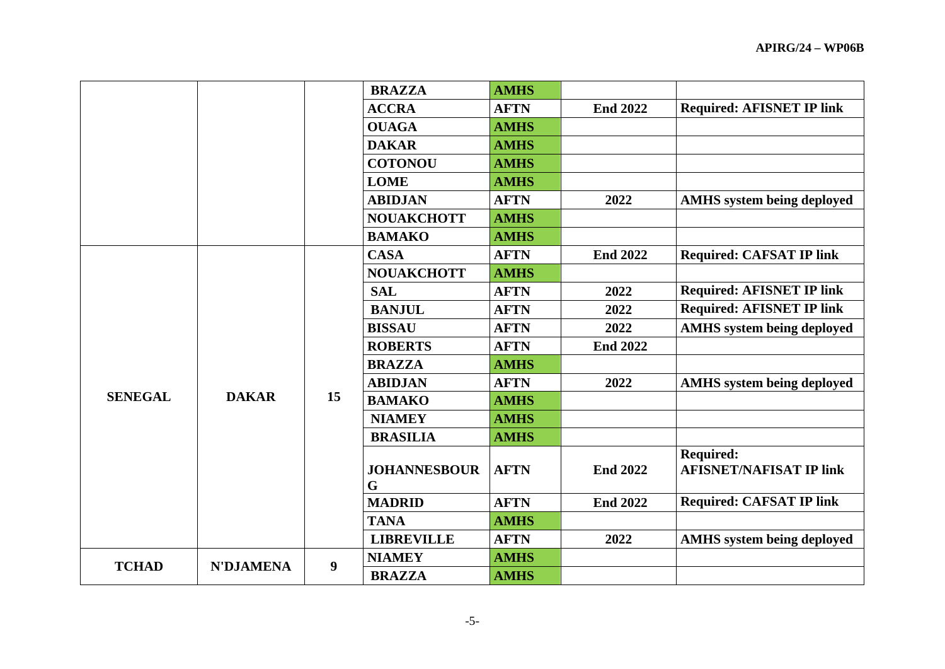|                |                  |    | <b>BRAZZA</b>            | <b>AMHS</b> |                 |                                                    |
|----------------|------------------|----|--------------------------|-------------|-----------------|----------------------------------------------------|
|                |                  |    | <b>ACCRA</b>             | <b>AFTN</b> | <b>End 2022</b> | <b>Required: AFISNET IP link</b>                   |
|                |                  |    | <b>OUAGA</b>             | <b>AMHS</b> |                 |                                                    |
|                |                  |    | <b>DAKAR</b>             | <b>AMHS</b> |                 |                                                    |
|                |                  |    | <b>COTONOU</b>           | <b>AMHS</b> |                 |                                                    |
|                |                  |    | <b>LOME</b>              | <b>AMHS</b> |                 |                                                    |
|                |                  |    | <b>ABIDJAN</b>           | <b>AFTN</b> | 2022            | <b>AMHS</b> system being deployed                  |
|                |                  |    | <b>NOUAKCHOTT</b>        | <b>AMHS</b> |                 |                                                    |
|                |                  |    | <b>BAMAKO</b>            | <b>AMHS</b> |                 |                                                    |
|                |                  | 15 | <b>CASA</b>              | <b>AFTN</b> | <b>End 2022</b> | <b>Required: CAFSAT IP link</b>                    |
|                |                  |    | <b>NOUAKCHOTT</b>        | <b>AMHS</b> |                 |                                                    |
|                | <b>DAKAR</b>     |    | <b>SAL</b>               | <b>AFTN</b> | 2022            | <b>Required: AFISNET IP link</b>                   |
| <b>SENEGAL</b> |                  |    | <b>BANJUL</b>            | <b>AFTN</b> | 2022            | <b>Required: AFISNET IP link</b>                   |
|                |                  |    | <b>BISSAU</b>            | <b>AFTN</b> | 2022            | <b>AMHS</b> system being deployed                  |
|                |                  |    | <b>ROBERTS</b>           | <b>AFTN</b> | <b>End 2022</b> |                                                    |
|                |                  |    | <b>BRAZZA</b>            | <b>AMHS</b> |                 |                                                    |
|                |                  |    | <b>ABIDJAN</b>           | <b>AFTN</b> | 2022            | <b>AMHS</b> system being deployed                  |
|                |                  |    | <b>BAMAKO</b>            | <b>AMHS</b> |                 |                                                    |
|                |                  |    | <b>NIAMEY</b>            | <b>AMHS</b> |                 |                                                    |
|                |                  |    | <b>BRASILIA</b>          | <b>AMHS</b> |                 |                                                    |
|                |                  |    | <b>JOHANNESBOUR</b><br>G | <b>AFTN</b> | <b>End 2022</b> | <b>Required:</b><br><b>AFISNET/NAFISAT IP link</b> |
|                |                  |    | <b>MADRID</b>            | <b>AFTN</b> | <b>End 2022</b> | <b>Required: CAFSAT IP link</b>                    |
|                |                  |    | <b>TANA</b>              | <b>AMHS</b> |                 |                                                    |
|                |                  |    | <b>LIBREVILLE</b>        | <b>AFTN</b> | 2022            | <b>AMHS</b> system being deployed                  |
| <b>TCHAD</b>   | <b>N'DJAMENA</b> | 9  | <b>NIAMEY</b>            | <b>AMHS</b> |                 |                                                    |
|                |                  |    | <b>BRAZZA</b>            | <b>AMHS</b> |                 |                                                    |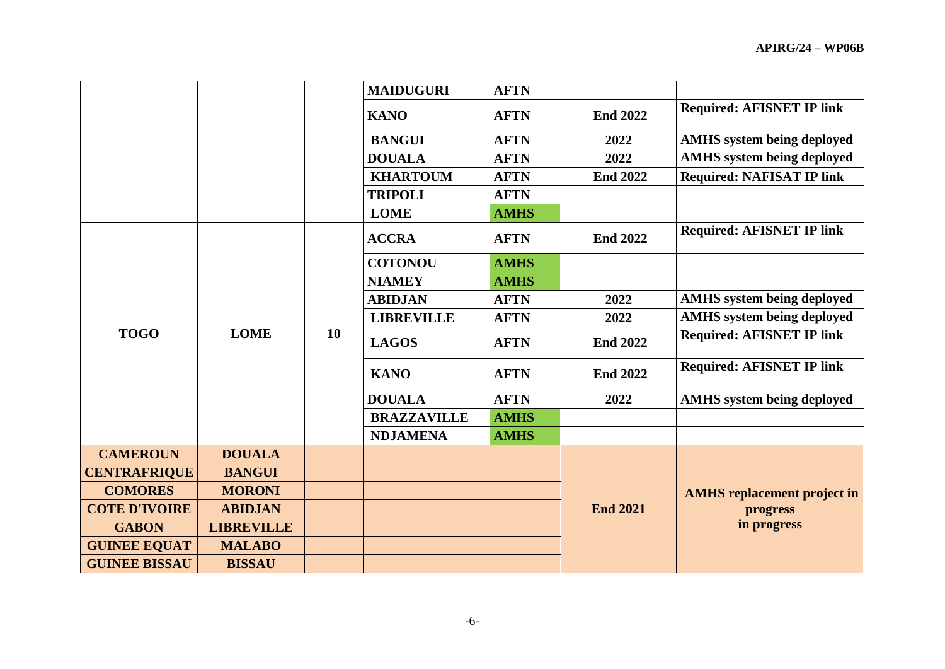|                      |                   |    | <b>MAIDUGURI</b>   | <b>AFTN</b> |                 |                                                               |
|----------------------|-------------------|----|--------------------|-------------|-----------------|---------------------------------------------------------------|
|                      |                   |    | <b>KANO</b>        | <b>AFTN</b> | <b>End 2022</b> | <b>Required: AFISNET IP link</b>                              |
|                      |                   |    | <b>BANGUI</b>      | <b>AFTN</b> | 2022            | <b>AMHS</b> system being deployed                             |
|                      |                   |    | <b>DOUALA</b>      | <b>AFTN</b> | 2022            | <b>AMHS</b> system being deployed                             |
|                      |                   |    | <b>KHARTOUM</b>    | <b>AFTN</b> | <b>End 2022</b> | <b>Required: NAFISAT IP link</b>                              |
|                      |                   |    | <b>TRIPOLI</b>     | <b>AFTN</b> |                 |                                                               |
|                      |                   |    | <b>LOME</b>        | <b>AMHS</b> |                 |                                                               |
|                      | <b>LOME</b>       | 10 | <b>ACCRA</b>       | <b>AFTN</b> | <b>End 2022</b> | <b>Required: AFISNET IP link</b>                              |
|                      |                   |    | <b>COTONOU</b>     | <b>AMHS</b> |                 |                                                               |
|                      |                   |    | <b>NIAMEY</b>      | <b>AMHS</b> |                 |                                                               |
|                      |                   |    | <b>ABIDJAN</b>     | <b>AFTN</b> | 2022            | <b>AMHS</b> system being deployed                             |
|                      |                   |    | <b>LIBREVILLE</b>  | <b>AFTN</b> | 2022            | <b>AMHS</b> system being deployed                             |
| <b>TOGO</b>          |                   |    | <b>LAGOS</b>       | <b>AFTN</b> | <b>End 2022</b> | <b>Required: AFISNET IP link</b>                              |
|                      |                   |    | <b>KANO</b>        | <b>AFTN</b> | <b>End 2022</b> | <b>Required: AFISNET IP link</b>                              |
|                      |                   |    | <b>DOUALA</b>      | <b>AFTN</b> | 2022            | <b>AMHS</b> system being deployed                             |
|                      |                   |    | <b>BRAZZAVILLE</b> | <b>AMHS</b> |                 |                                                               |
|                      |                   |    | <b>NDJAMENA</b>    | <b>AMHS</b> |                 |                                                               |
| <b>CAMEROUN</b>      | <b>DOUALA</b>     |    |                    |             |                 |                                                               |
| <b>CENTRAFRIQUE</b>  | <b>BANGUI</b>     |    |                    |             |                 |                                                               |
| <b>COMORES</b>       | <b>MORONI</b>     |    |                    |             |                 | <b>AMHS</b> replacement project in<br>progress<br>in progress |
| <b>COTE D'IVOIRE</b> | <b>ABIDJAN</b>    |    |                    |             | <b>End 2021</b> |                                                               |
| <b>GABON</b>         | <b>LIBREVILLE</b> |    |                    |             |                 |                                                               |
| <b>GUINEE EQUAT</b>  | <b>MALABO</b>     |    |                    |             |                 |                                                               |
| <b>GUINEE BISSAU</b> | <b>BISSAU</b>     |    |                    |             |                 |                                                               |